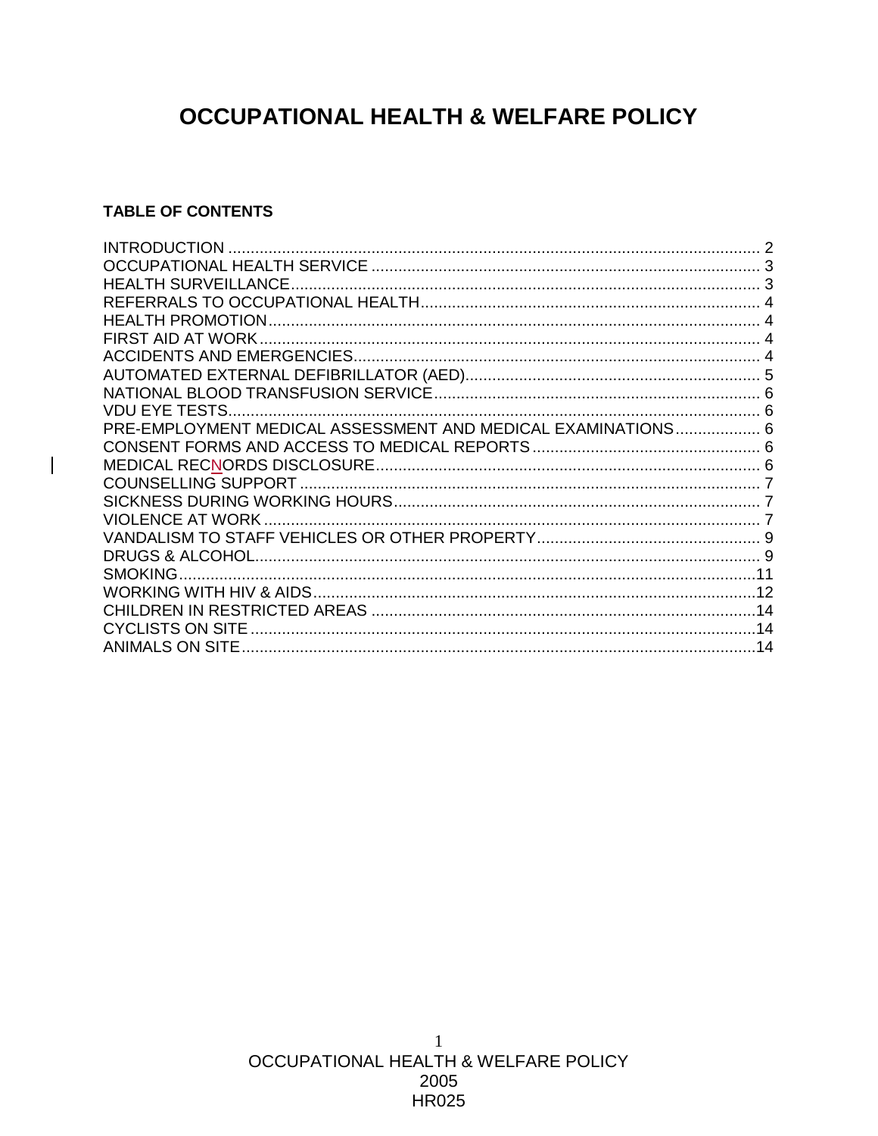# **OCCUPATIONAL HEALTH & WELFARE POLICY**

## **TABLE OF CONTENTS**

| VDU EYE TESTS                                                |  |
|--------------------------------------------------------------|--|
| PRE-EMPLOYMENT MEDICAL ASSESSMENT AND MEDICAL EXAMINATIONS 6 |  |
|                                                              |  |
|                                                              |  |
|                                                              |  |
|                                                              |  |
|                                                              |  |
|                                                              |  |
|                                                              |  |
|                                                              |  |
|                                                              |  |
|                                                              |  |
| <b>CYCLISTS ON SITE</b>                                      |  |
| ANIMALS ON SITE                                              |  |
|                                                              |  |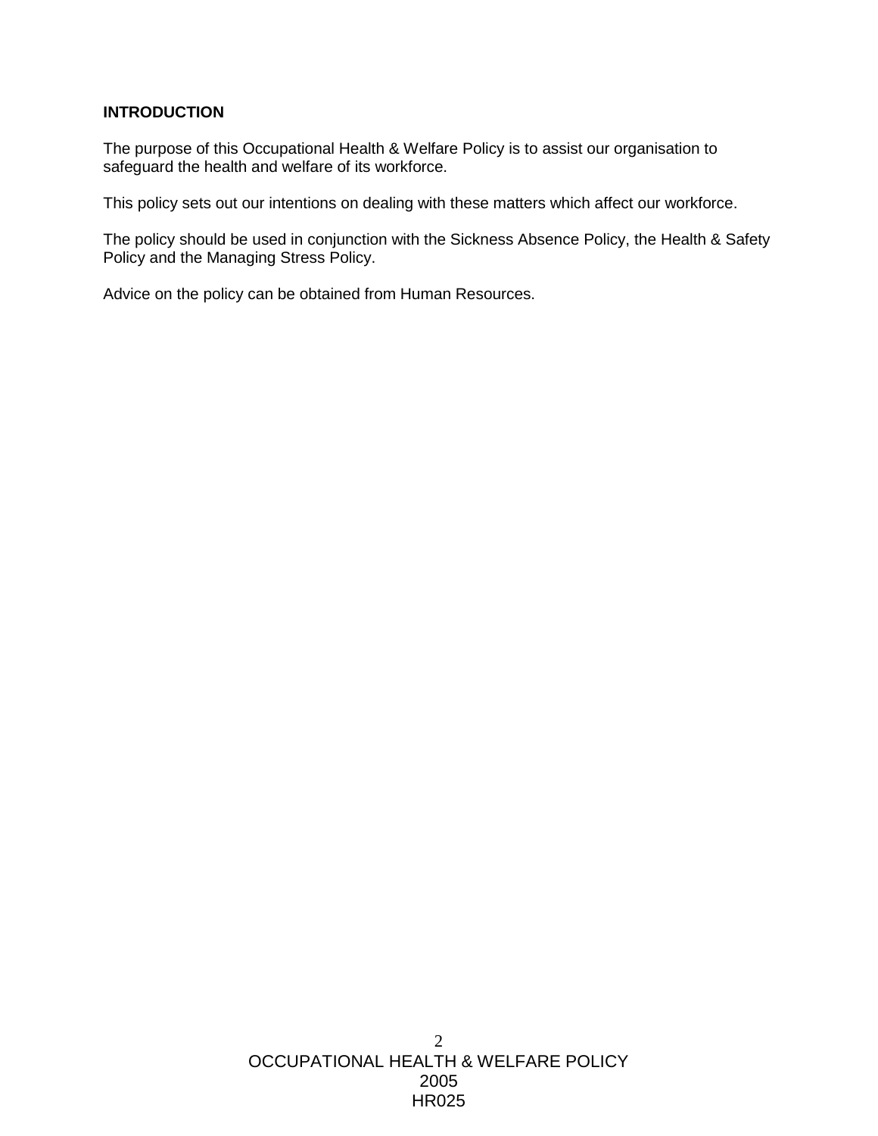## **INTRODUCTION**

The purpose of this Occupational Health & Welfare Policy is to assist our organisation to safeguard the health and welfare of its workforce.

This policy sets out our intentions on dealing with these matters which affect our workforce.

The policy should be used in conjunction with the Sickness Absence Policy, the Health & Safety Policy and the Managing Stress Policy.

Advice on the policy can be obtained from Human Resources.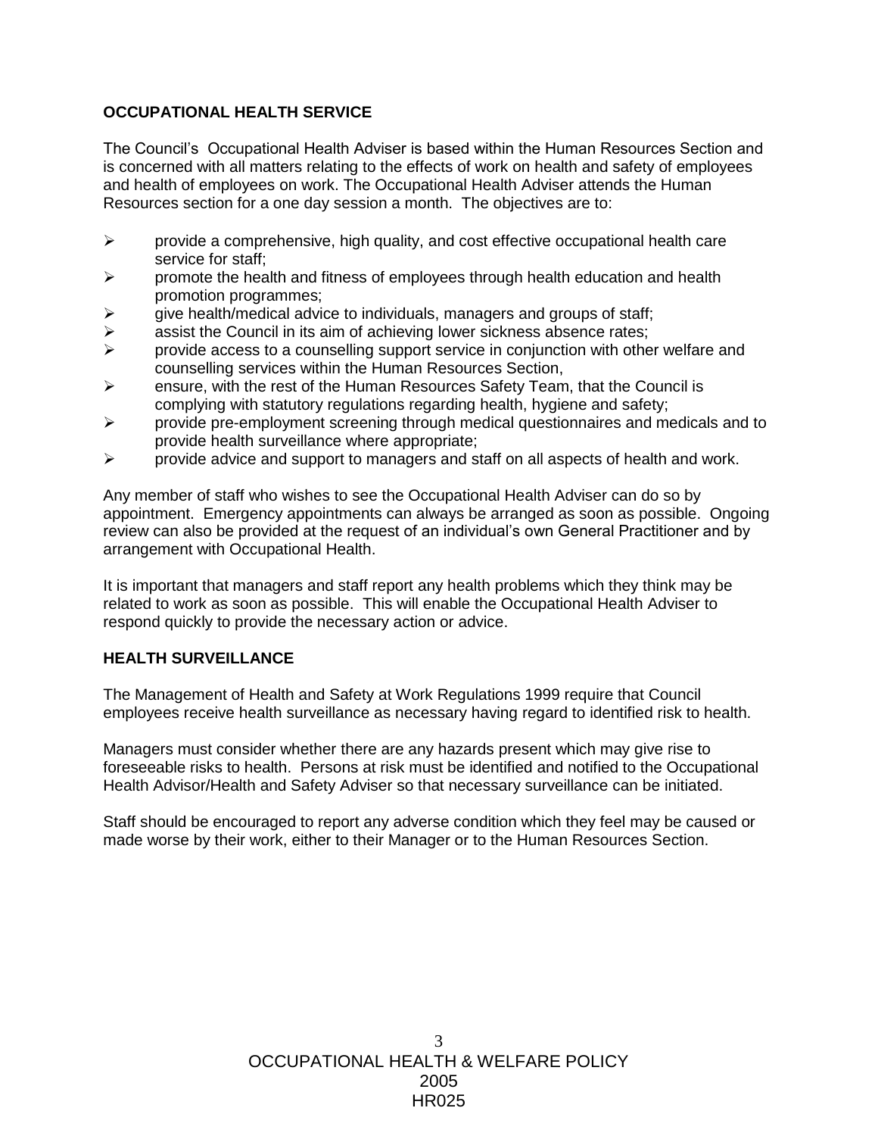# **OCCUPATIONAL HEALTH SERVICE**

The Council's Occupational Health Adviser is based within the Human Resources Section and is concerned with all matters relating to the effects of work on health and safety of employees and health of employees on work. The Occupational Health Adviser attends the Human Resources section for a one day session a month. The objectives are to:

- $\triangleright$  provide a comprehensive, high quality, and cost effective occupational health care service for staff;
- $\triangleright$  promote the health and fitness of employees through health education and health promotion programmes;
- $\triangleright$  qive health/medical advice to individuals, managers and groups of staff;
- $\triangleright$  assist the Council in its aim of achieving lower sickness absence rates;
- $\triangleright$  provide access to a counselling support service in conjunction with other welfare and counselling services within the Human Resources Section,
- $\triangleright$  ensure, with the rest of the Human Resources Safety Team, that the Council is complying with statutory regulations regarding health, hygiene and safety;
- $\triangleright$  provide pre-employment screening through medical questionnaires and medicals and to provide health surveillance where appropriate;
- $\triangleright$  provide advice and support to managers and staff on all aspects of health and work.

Any member of staff who wishes to see the Occupational Health Adviser can do so by appointment. Emergency appointments can always be arranged as soon as possible. Ongoing review can also be provided at the request of an individual's own General Practitioner and by arrangement with Occupational Health.

It is important that managers and staff report any health problems which they think may be related to work as soon as possible. This will enable the Occupational Health Adviser to respond quickly to provide the necessary action or advice.

## **HEALTH SURVEILLANCE**

The Management of Health and Safety at Work Regulations 1999 require that Council employees receive health surveillance as necessary having regard to identified risk to health.

Managers must consider whether there are any hazards present which may give rise to foreseeable risks to health. Persons at risk must be identified and notified to the Occupational Health Advisor/Health and Safety Adviser so that necessary surveillance can be initiated.

Staff should be encouraged to report any adverse condition which they feel may be caused or made worse by their work, either to their Manager or to the Human Resources Section.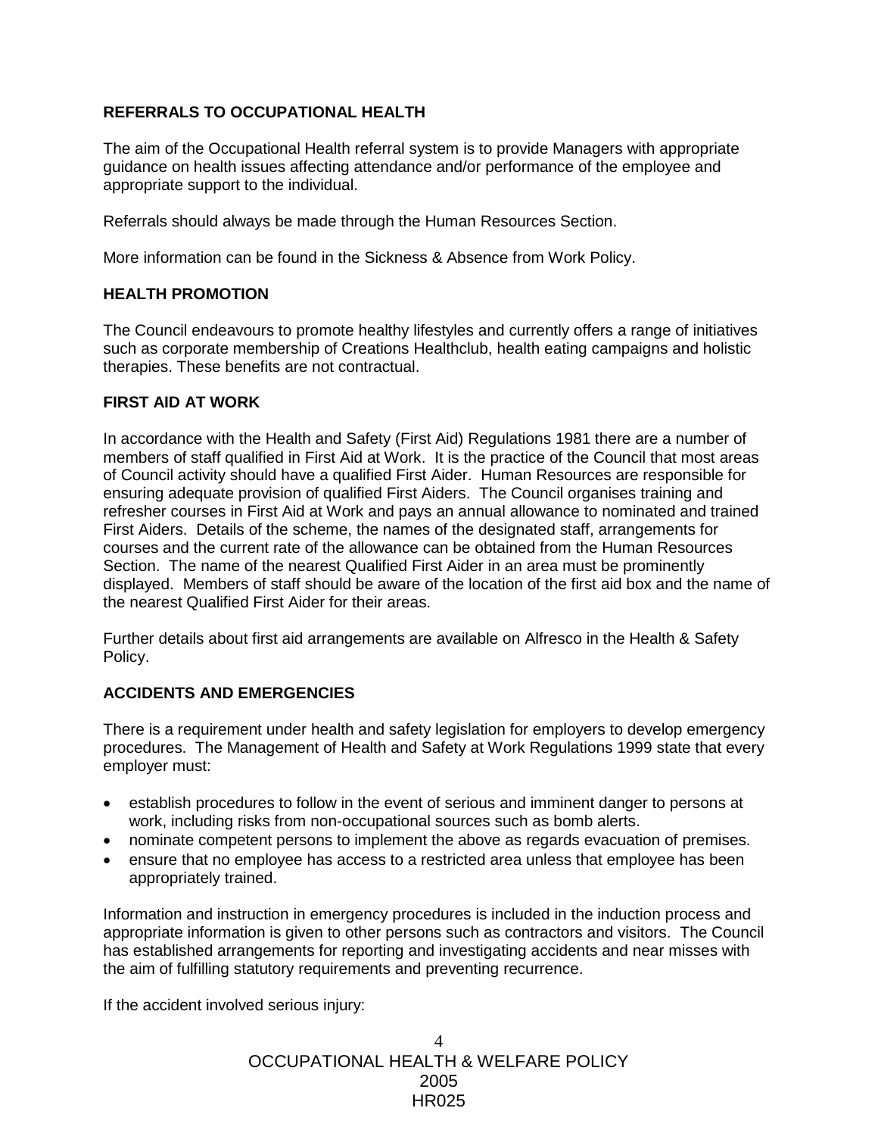# **REFERRALS TO OCCUPATIONAL HEALTH**

The aim of the Occupational Health referral system is to provide Managers with appropriate guidance on health issues affecting attendance and/or performance of the employee and appropriate support to the individual.

Referrals should always be made through the Human Resources Section.

More information can be found in the Sickness & Absence from Work Policy.

#### **HEALTH PROMOTION**

The Council endeavours to promote healthy lifestyles and currently offers a range of initiatives such as corporate membership of Creations Healthclub, health eating campaigns and holistic therapies. These benefits are not contractual.

#### **FIRST AID AT WORK**

In accordance with the Health and Safety (First Aid) Regulations 1981 there are a number of members of staff qualified in First Aid at Work. It is the practice of the Council that most areas of Council activity should have a qualified First Aider. Human Resources are responsible for ensuring adequate provision of qualified First Aiders. The Council organises training and refresher courses in First Aid at Work and pays an annual allowance to nominated and trained First Aiders. Details of the scheme, the names of the designated staff, arrangements for courses and the current rate of the allowance can be obtained from the Human Resources Section. The name of the nearest Qualified First Aider in an area must be prominently displayed. Members of staff should be aware of the location of the first aid box and the name of the nearest Qualified First Aider for their areas.

Further details about first aid arrangements are available on Alfresco in the Health & Safety Policy.

## **ACCIDENTS AND EMERGENCIES**

There is a requirement under health and safety legislation for employers to develop emergency procedures. The Management of Health and Safety at Work Regulations 1999 state that every employer must:

- establish procedures to follow in the event of serious and imminent danger to persons at work, including risks from non-occupational sources such as bomb alerts.
- nominate competent persons to implement the above as regards evacuation of premises.
- ensure that no employee has access to a restricted area unless that employee has been appropriately trained.

Information and instruction in emergency procedures is included in the induction process and appropriate information is given to other persons such as contractors and visitors. The Council has established arrangements for reporting and investigating accidents and near misses with the aim of fulfilling statutory requirements and preventing recurrence.

If the accident involved serious injury: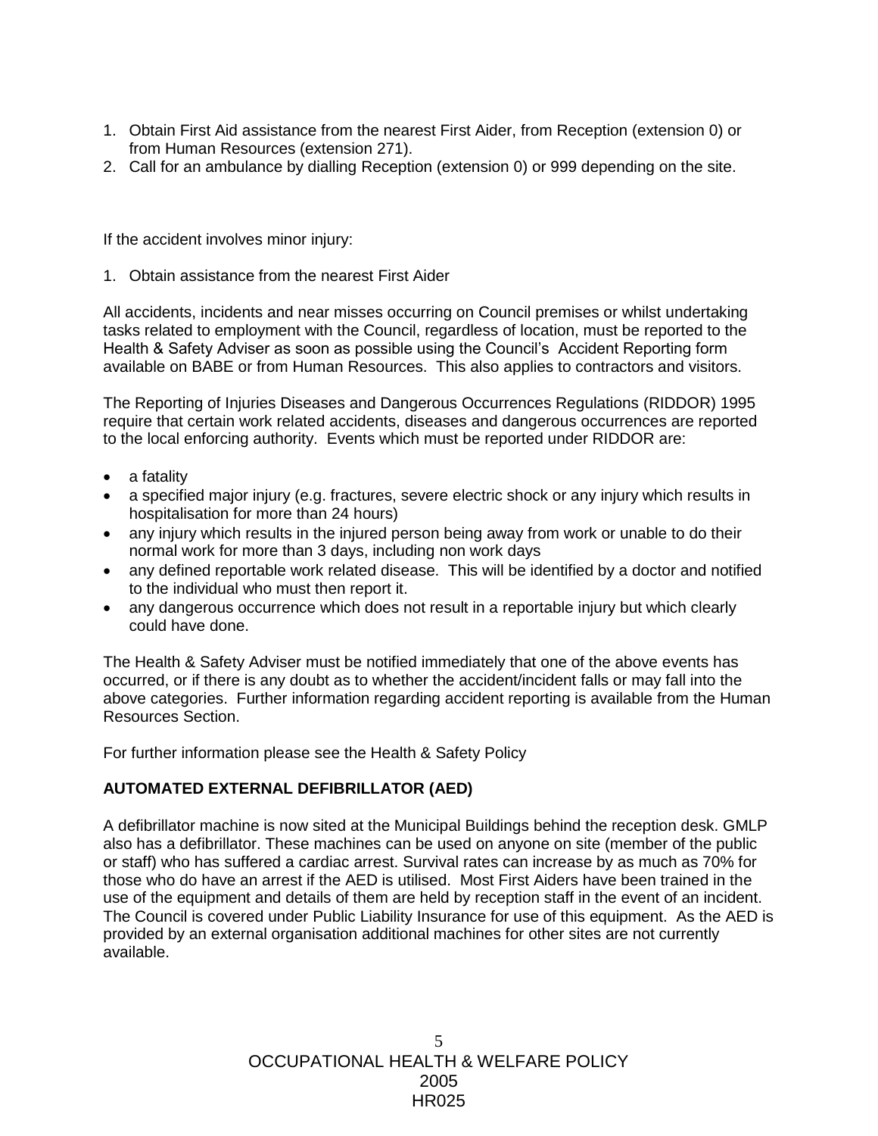- 1. Obtain First Aid assistance from the nearest First Aider, from Reception (extension 0) or from Human Resources (extension 271).
- 2. Call for an ambulance by dialling Reception (extension 0) or 999 depending on the site.

If the accident involves minor injury:

1. Obtain assistance from the nearest First Aider

All accidents, incidents and near misses occurring on Council premises or whilst undertaking tasks related to employment with the Council, regardless of location, must be reported to the Health & Safety Adviser as soon as possible using the Council's Accident Reporting form available on BABE or from Human Resources. This also applies to contractors and visitors.

The Reporting of Injuries Diseases and Dangerous Occurrences Regulations (RIDDOR) 1995 require that certain work related accidents, diseases and dangerous occurrences are reported to the local enforcing authority. Events which must be reported under RIDDOR are:

- a fatality
- a specified major injury (e.g. fractures, severe electric shock or any injury which results in hospitalisation for more than 24 hours)
- any injury which results in the injured person being away from work or unable to do their normal work for more than 3 days, including non work days
- any defined reportable work related disease. This will be identified by a doctor and notified to the individual who must then report it.
- any dangerous occurrence which does not result in a reportable injury but which clearly could have done.

The Health & Safety Adviser must be notified immediately that one of the above events has occurred, or if there is any doubt as to whether the accident/incident falls or may fall into the above categories. Further information regarding accident reporting is available from the Human Resources Section.

For further information please see the Health & Safety Policy

# **AUTOMATED EXTERNAL DEFIBRILLATOR (AED)**

A defibrillator machine is now sited at the Municipal Buildings behind the reception desk. GMLP also has a defibrillator. These machines can be used on anyone on site (member of the public or staff) who has suffered a cardiac arrest. Survival rates can increase by as much as 70% for those who do have an arrest if the AED is utilised. Most First Aiders have been trained in the use of the equipment and details of them are held by reception staff in the event of an incident. The Council is covered under Public Liability Insurance for use of this equipment. As the AED is provided by an external organisation additional machines for other sites are not currently available.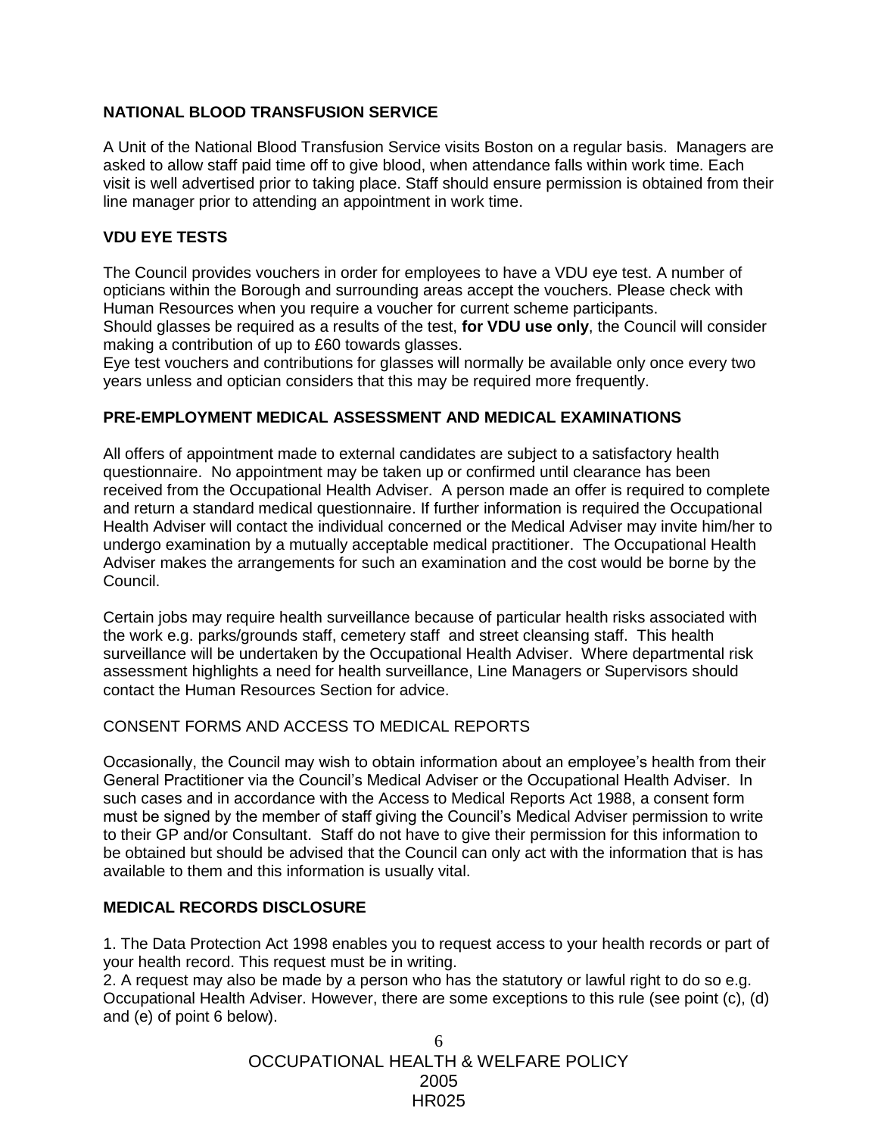# **NATIONAL BLOOD TRANSFUSION SERVICE**

A Unit of the National Blood Transfusion Service visits Boston on a regular basis. Managers are asked to allow staff paid time off to give blood, when attendance falls within work time. Each visit is well advertised prior to taking place. Staff should ensure permission is obtained from their line manager prior to attending an appointment in work time.

## **VDU EYE TESTS**

The Council provides vouchers in order for employees to have a VDU eye test. A number of opticians within the Borough and surrounding areas accept the vouchers. Please check with Human Resources when you require a voucher for current scheme participants.

Should glasses be required as a results of the test, **for VDU use only**, the Council will consider making a contribution of up to £60 towards glasses.

Eye test vouchers and contributions for glasses will normally be available only once every two years unless and optician considers that this may be required more frequently.

## **PRE-EMPLOYMENT MEDICAL ASSESSMENT AND MEDICAL EXAMINATIONS**

All offers of appointment made to external candidates are subject to a satisfactory health questionnaire. No appointment may be taken up or confirmed until clearance has been received from the Occupational Health Adviser. A person made an offer is required to complete and return a standard medical questionnaire. If further information is required the Occupational Health Adviser will contact the individual concerned or the Medical Adviser may invite him/her to undergo examination by a mutually acceptable medical practitioner. The Occupational Health Adviser makes the arrangements for such an examination and the cost would be borne by the Council.

Certain jobs may require health surveillance because of particular health risks associated with the work e.g. parks/grounds staff, cemetery staff and street cleansing staff. This health surveillance will be undertaken by the Occupational Health Adviser. Where departmental risk assessment highlights a need for health surveillance, Line Managers or Supervisors should contact the Human Resources Section for advice.

## CONSENT FORMS AND ACCESS TO MEDICAL REPORTS

Occasionally, the Council may wish to obtain information about an employee's health from their General Practitioner via the Council's Medical Adviser or the Occupational Health Adviser. In such cases and in accordance with the Access to Medical Reports Act 1988, a consent form must be signed by the member of staff giving the Council's Medical Adviser permission to write to their GP and/or Consultant. Staff do not have to give their permission for this information to be obtained but should be advised that the Council can only act with the information that is has available to them and this information is usually vital.

## **MEDICAL RECORDS DISCLOSURE**

1. The Data Protection Act 1998 enables you to request access to your health records or part of your health record. This request must be in writing.

2. A request may also be made by a person who has the statutory or lawful right to do so e.g. Occupational Health Adviser. However, there are some exceptions to this rule (see point (c), (d) and (e) of point 6 below).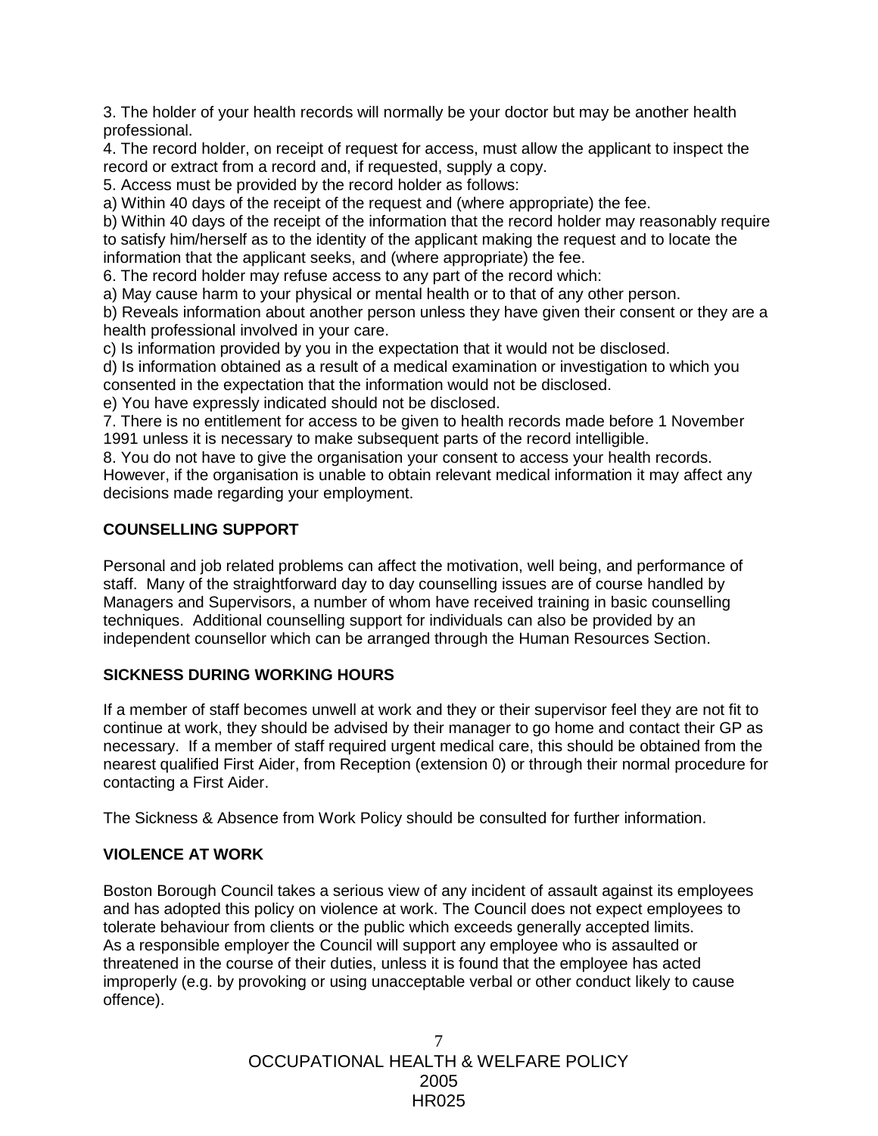3. The holder of your health records will normally be your doctor but may be another health professional.

4. The record holder, on receipt of request for access, must allow the applicant to inspect the record or extract from a record and, if requested, supply a copy.

5. Access must be provided by the record holder as follows:

a) Within 40 days of the receipt of the request and (where appropriate) the fee.

b) Within 40 days of the receipt of the information that the record holder may reasonably require to satisfy him/herself as to the identity of the applicant making the request and to locate the information that the applicant seeks, and (where appropriate) the fee.

6. The record holder may refuse access to any part of the record which:

a) May cause harm to your physical or mental health or to that of any other person.

b) Reveals information about another person unless they have given their consent or they are a health professional involved in your care.

c) Is information provided by you in the expectation that it would not be disclosed.

d) Is information obtained as a result of a medical examination or investigation to which you consented in the expectation that the information would not be disclosed.

e) You have expressly indicated should not be disclosed.

7. There is no entitlement for access to be given to health records made before 1 November 1991 unless it is necessary to make subsequent parts of the record intelligible.

8. You do not have to give the organisation your consent to access your health records. However, if the organisation is unable to obtain relevant medical information it may affect any decisions made regarding your employment.

# **COUNSELLING SUPPORT**

Personal and job related problems can affect the motivation, well being, and performance of staff. Many of the straightforward day to day counselling issues are of course handled by Managers and Supervisors, a number of whom have received training in basic counselling techniques. Additional counselling support for individuals can also be provided by an independent counsellor which can be arranged through the Human Resources Section.

## **SICKNESS DURING WORKING HOURS**

If a member of staff becomes unwell at work and they or their supervisor feel they are not fit to continue at work, they should be advised by their manager to go home and contact their GP as necessary. If a member of staff required urgent medical care, this should be obtained from the nearest qualified First Aider, from Reception (extension 0) or through their normal procedure for contacting a First Aider.

The Sickness & Absence from Work Policy should be consulted for further information.

## **VIOLENCE AT WORK**

Boston Borough Council takes a serious view of any incident of assault against its employees and has adopted this policy on violence at work. The Council does not expect employees to tolerate behaviour from clients or the public which exceeds generally accepted limits. As a responsible employer the Council will support any employee who is assaulted or threatened in the course of their duties, unless it is found that the employee has acted improperly (e.g. by provoking or using unacceptable verbal or other conduct likely to cause offence).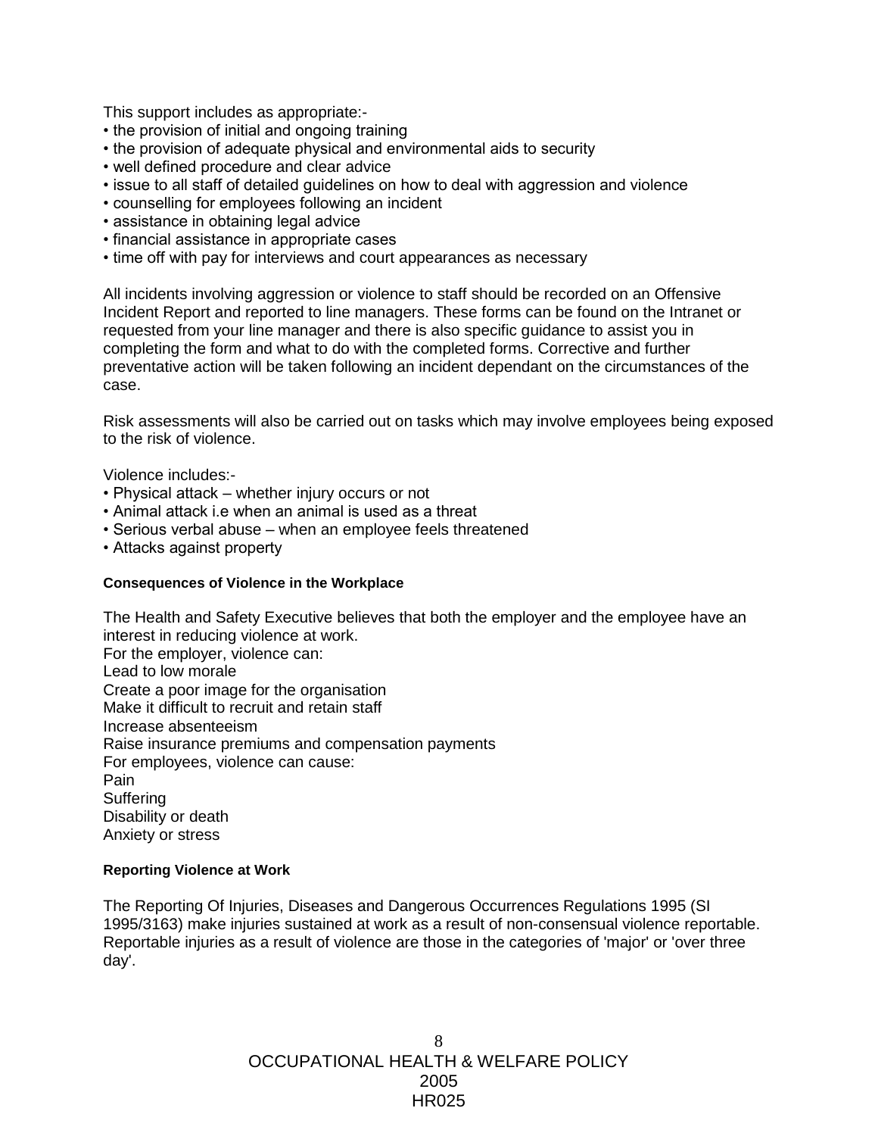This support includes as appropriate:-

- the provision of initial and ongoing training
- the provision of adequate physical and environmental aids to security
- well defined procedure and clear advice
- issue to all staff of detailed guidelines on how to deal with aggression and violence
- counselling for employees following an incident
- assistance in obtaining legal advice
- financial assistance in appropriate cases
- time off with pay for interviews and court appearances as necessary

All incidents involving aggression or violence to staff should be recorded on an Offensive Incident Report and reported to line managers. These forms can be found on the Intranet or requested from your line manager and there is also specific guidance to assist you in completing the form and what to do with the completed forms. Corrective and further preventative action will be taken following an incident dependant on the circumstances of the case.

Risk assessments will also be carried out on tasks which may involve employees being exposed to the risk of violence.

Violence includes:-

- Physical attack whether injury occurs or not
- Animal attack i.e when an animal is used as a threat
- Serious verbal abuse when an employee feels threatened
- Attacks against property

#### **Consequences of Violence in the Workplace**

The Health and Safety Executive believes that both the employer and the employee have an interest in reducing violence at work. For the employer, violence can: Lead to low morale Create a poor image for the organisation Make it difficult to recruit and retain staff Increase absenteeism Raise insurance premiums and compensation payments For employees, violence can cause: Pain **Suffering** Disability or death Anxiety or stress

#### **Reporting Violence at Work**

The Reporting Of Injuries, Diseases and Dangerous Occurrences Regulations 1995 (SI 1995/3163) make injuries sustained at work as a result of non-consensual violence reportable. Reportable injuries as a result of violence are those in the categories of 'major' or 'over three day'.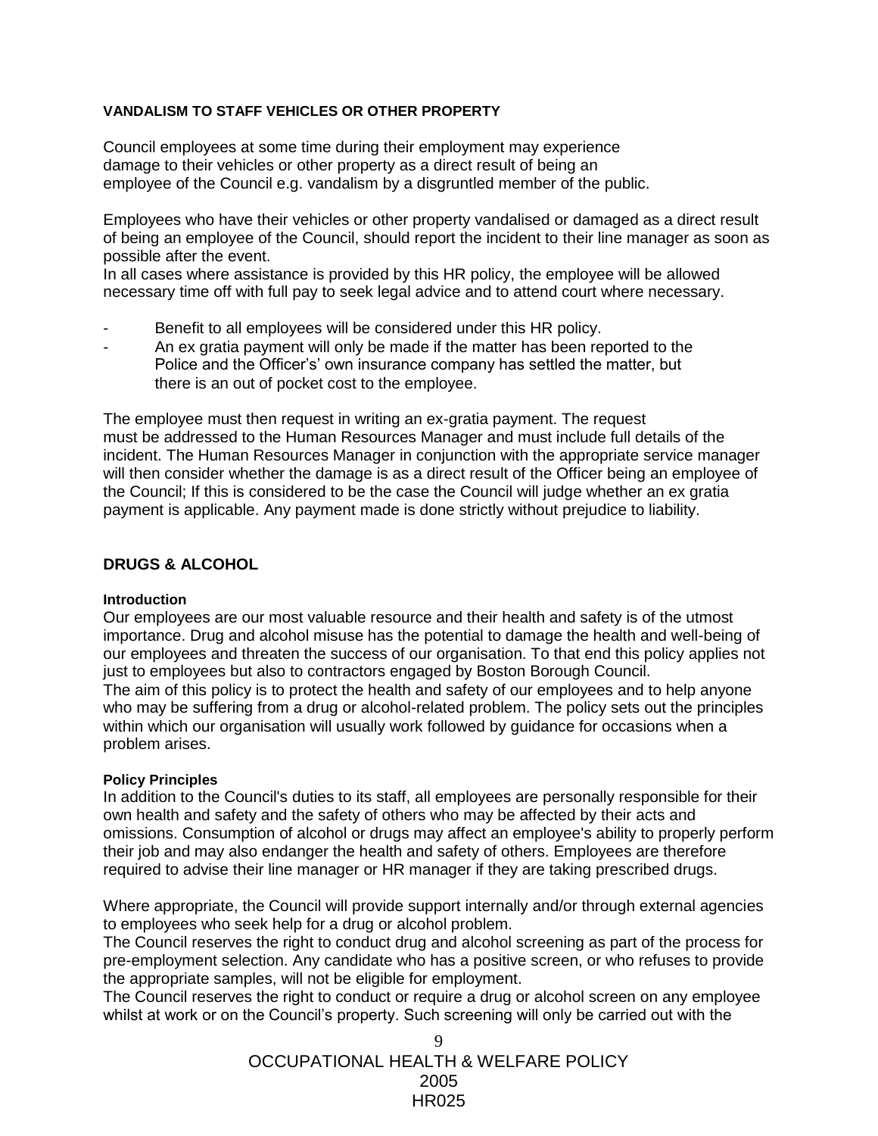## **VANDALISM TO STAFF VEHICLES OR OTHER PROPERTY**

Council employees at some time during their employment may experience damage to their vehicles or other property as a direct result of being an employee of the Council e.g. vandalism by a disgruntled member of the public.

Employees who have their vehicles or other property vandalised or damaged as a direct result of being an employee of the Council, should report the incident to their line manager as soon as possible after the event.

In all cases where assistance is provided by this HR policy, the employee will be allowed necessary time off with full pay to seek legal advice and to attend court where necessary.

- Benefit to all employees will be considered under this HR policy.
- An ex gratia payment will only be made if the matter has been reported to the Police and the Officer's' own insurance company has settled the matter, but there is an out of pocket cost to the employee.

The employee must then request in writing an ex-gratia payment. The request must be addressed to the Human Resources Manager and must include full details of the incident. The Human Resources Manager in conjunction with the appropriate service manager will then consider whether the damage is as a direct result of the Officer being an employee of the Council; If this is considered to be the case the Council will judge whether an ex gratia payment is applicable. Any payment made is done strictly without prejudice to liability.

## **DRUGS & ALCOHOL**

#### **Introduction**

Our employees are our most valuable resource and their health and safety is of the utmost importance. Drug and alcohol misuse has the potential to damage the health and well-being of our employees and threaten the success of our organisation. To that end this policy applies not just to employees but also to contractors engaged by Boston Borough Council. The aim of this policy is to protect the health and safety of our employees and to help anyone who may be suffering from a drug or alcohol-related problem. The policy sets out the principles within which our organisation will usually work followed by guidance for occasions when a problem arises.

#### **Policy Principles**

In addition to the Council's duties to its staff, all employees are personally responsible for their own health and safety and the safety of others who may be affected by their acts and omissions. Consumption of alcohol or drugs may affect an employee's ability to properly perform their job and may also endanger the health and safety of others. Employees are therefore required to advise their line manager or HR manager if they are taking prescribed drugs.

Where appropriate, the Council will provide support internally and/or through external agencies to employees who seek help for a drug or alcohol problem.

The Council reserves the right to conduct drug and alcohol screening as part of the process for pre-employment selection. Any candidate who has a positive screen, or who refuses to provide the appropriate samples, will not be eligible for employment.

The Council reserves the right to conduct or require a drug or alcohol screen on any employee whilst at work or on the Council's property. Such screening will only be carried out with the

> OCCUPATIONAL HEALTH & WELFARE POLICY 2005 HR025  $\mathbf Q$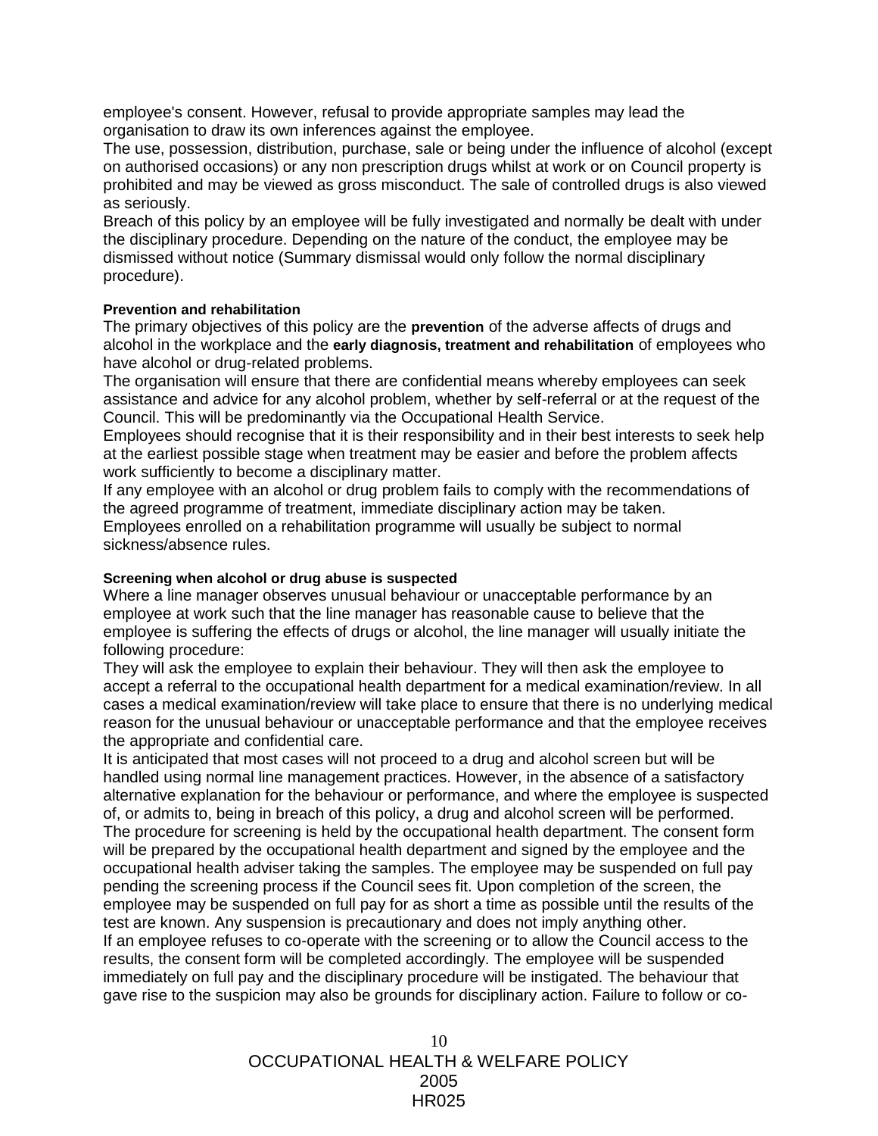employee's consent. However, refusal to provide appropriate samples may lead the organisation to draw its own inferences against the employee.

The use, possession, distribution, purchase, sale or being under the influence of alcohol (except on authorised occasions) or any non prescription drugs whilst at work or on Council property is prohibited and may be viewed as gross misconduct. The sale of controlled drugs is also viewed as seriously.

Breach of this policy by an employee will be fully investigated and normally be dealt with under the disciplinary procedure. Depending on the nature of the conduct, the employee may be dismissed without notice (Summary dismissal would only follow the normal disciplinary procedure).

#### **Prevention and rehabilitation**

The primary objectives of this policy are the **prevention** of the adverse affects of drugs and alcohol in the workplace and the **early diagnosis, treatment and rehabilitation** of employees who have alcohol or drug-related problems.

The organisation will ensure that there are confidential means whereby employees can seek assistance and advice for any alcohol problem, whether by self-referral or at the request of the Council. This will be predominantly via the Occupational Health Service.

Employees should recognise that it is their responsibility and in their best interests to seek help at the earliest possible stage when treatment may be easier and before the problem affects work sufficiently to become a disciplinary matter.

If any employee with an alcohol or drug problem fails to comply with the recommendations of the agreed programme of treatment, immediate disciplinary action may be taken. Employees enrolled on a rehabilitation programme will usually be subject to normal sickness/absence rules.

#### **Screening when alcohol or drug abuse is suspected**

Where a line manager observes unusual behaviour or unacceptable performance by an employee at work such that the line manager has reasonable cause to believe that the employee is suffering the effects of drugs or alcohol, the line manager will usually initiate the following procedure:

They will ask the employee to explain their behaviour. They will then ask the employee to accept a referral to the occupational health department for a medical examination/review. In all cases a medical examination/review will take place to ensure that there is no underlying medical reason for the unusual behaviour or unacceptable performance and that the employee receives the appropriate and confidential care.

It is anticipated that most cases will not proceed to a drug and alcohol screen but will be handled using normal line management practices. However, in the absence of a satisfactory alternative explanation for the behaviour or performance, and where the employee is suspected of, or admits to, being in breach of this policy, a drug and alcohol screen will be performed. The procedure for screening is held by the occupational health department. The consent form will be prepared by the occupational health department and signed by the employee and the occupational health adviser taking the samples. The employee may be suspended on full pay pending the screening process if the Council sees fit. Upon completion of the screen, the employee may be suspended on full pay for as short a time as possible until the results of the test are known. Any suspension is precautionary and does not imply anything other. If an employee refuses to co-operate with the screening or to allow the Council access to the results, the consent form will be completed accordingly. The employee will be suspended immediately on full pay and the disciplinary procedure will be instigated. The behaviour that gave rise to the suspicion may also be grounds for disciplinary action. Failure to follow or co-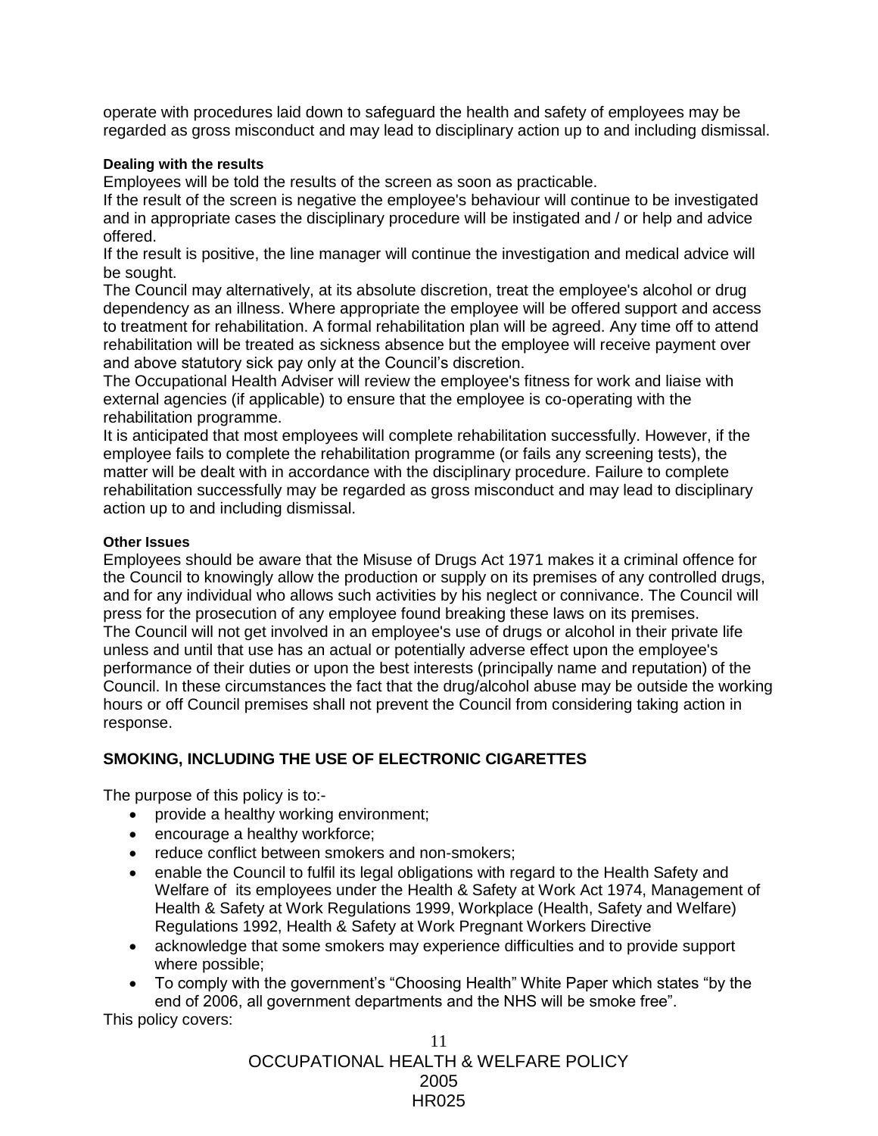operate with procedures laid down to safeguard the health and safety of employees may be regarded as gross misconduct and may lead to disciplinary action up to and including dismissal.

#### **Dealing with the results**

Employees will be told the results of the screen as soon as practicable.

If the result of the screen is negative the employee's behaviour will continue to be investigated and in appropriate cases the disciplinary procedure will be instigated and / or help and advice offered.

If the result is positive, the line manager will continue the investigation and medical advice will be sought.

The Council may alternatively, at its absolute discretion, treat the employee's alcohol or drug dependency as an illness. Where appropriate the employee will be offered support and access to treatment for rehabilitation. A formal rehabilitation plan will be agreed. Any time off to attend rehabilitation will be treated as sickness absence but the employee will receive payment over and above statutory sick pay only at the Council's discretion.

The Occupational Health Adviser will review the employee's fitness for work and liaise with external agencies (if applicable) to ensure that the employee is co-operating with the rehabilitation programme.

It is anticipated that most employees will complete rehabilitation successfully. However, if the employee fails to complete the rehabilitation programme (or fails any screening tests), the matter will be dealt with in accordance with the disciplinary procedure. Failure to complete rehabilitation successfully may be regarded as gross misconduct and may lead to disciplinary action up to and including dismissal.

#### **Other Issues**

Employees should be aware that the Misuse of Drugs Act 1971 makes it a criminal offence for the Council to knowingly allow the production or supply on its premises of any controlled drugs, and for any individual who allows such activities by his neglect or connivance. The Council will press for the prosecution of any employee found breaking these laws on its premises. The Council will not get involved in an employee's use of drugs or alcohol in their private life unless and until that use has an actual or potentially adverse effect upon the employee's performance of their duties or upon the best interests (principally name and reputation) of the Council. In these circumstances the fact that the drug/alcohol abuse may be outside the working hours or off Council premises shall not prevent the Council from considering taking action in response.

## **SMOKING, INCLUDING THE USE OF ELECTRONIC CIGARETTES**

The purpose of this policy is to:-

- provide a healthy working environment;
- encourage a healthy workforce;
- reduce conflict between smokers and non-smokers;
- enable the Council to fulfil its legal obligations with regard to the Health Safety and Welfare of its employees under the Health & Safety at Work Act 1974, Management of Health & Safety at Work Regulations 1999, Workplace (Health, Safety and Welfare) Regulations 1992, Health & Safety at Work Pregnant Workers Directive
- acknowledge that some smokers may experience difficulties and to provide support where possible;
- To comply with the government's "Choosing Health" White Paper which states "by the end of 2006, all government departments and the NHS will be smoke free".

This policy covers: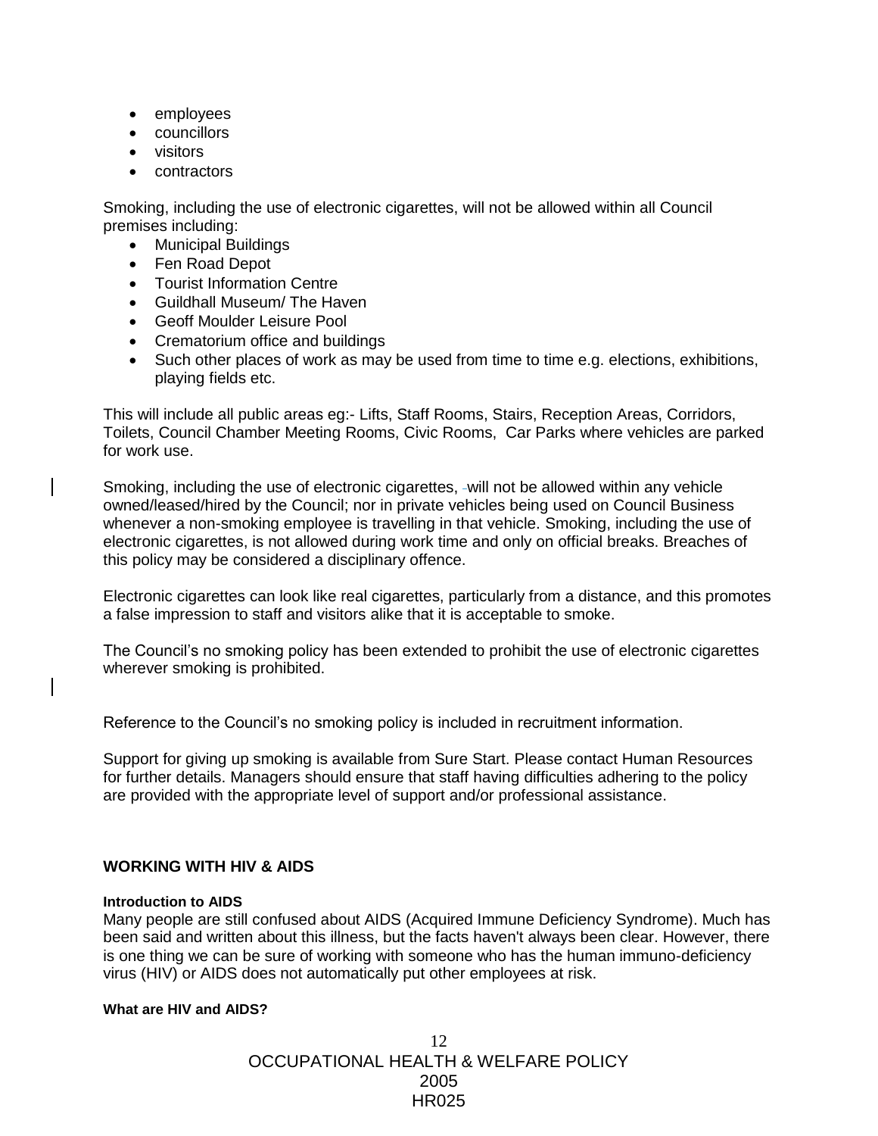- employees
- councillors
- **•** visitors
- contractors

Smoking, including the use of electronic cigarettes, will not be allowed within all Council premises including:

- Municipal Buildings
- Fen Road Depot
- Tourist Information Centre
- Guildhall Museum/ The Haven
- Geoff Moulder Leisure Pool
- Crematorium office and buildings
- Such other places of work as may be used from time to time e.g. elections, exhibitions, playing fields etc.

This will include all public areas eg:- Lifts, Staff Rooms, Stairs, Reception Areas, Corridors, Toilets, Council Chamber Meeting Rooms, Civic Rooms, Car Parks where vehicles are parked for work use.

Smoking, including the use of electronic cigarettes, -will not be allowed within any vehicle owned/leased/hired by the Council; nor in private vehicles being used on Council Business whenever a non-smoking employee is travelling in that vehicle. Smoking, including the use of electronic cigarettes, is not allowed during work time and only on official breaks. Breaches of this policy may be considered a disciplinary offence.

Electronic cigarettes can look like real cigarettes, particularly from a distance, and this promotes a false impression to staff and visitors alike that it is acceptable to smoke.

The Council's no smoking policy has been extended to prohibit the use of electronic cigarettes wherever smoking is prohibited.

Reference to the Council's no smoking policy is included in recruitment information.

Support for giving up smoking is available from Sure Start. Please contact Human Resources for further details. Managers should ensure that staff having difficulties adhering to the policy are provided with the appropriate level of support and/or professional assistance.

# **WORKING WITH HIV & AIDS**

#### **Introduction to AIDS**

Many people are still confused about AIDS (Acquired Immune Deficiency Syndrome). Much has been said and written about this illness, but the facts haven't always been clear. However, there is one thing we can be sure of working with someone who has the human immuno-deficiency virus (HIV) or AIDS does not automatically put other employees at risk.

## **What are HIV and AIDS?**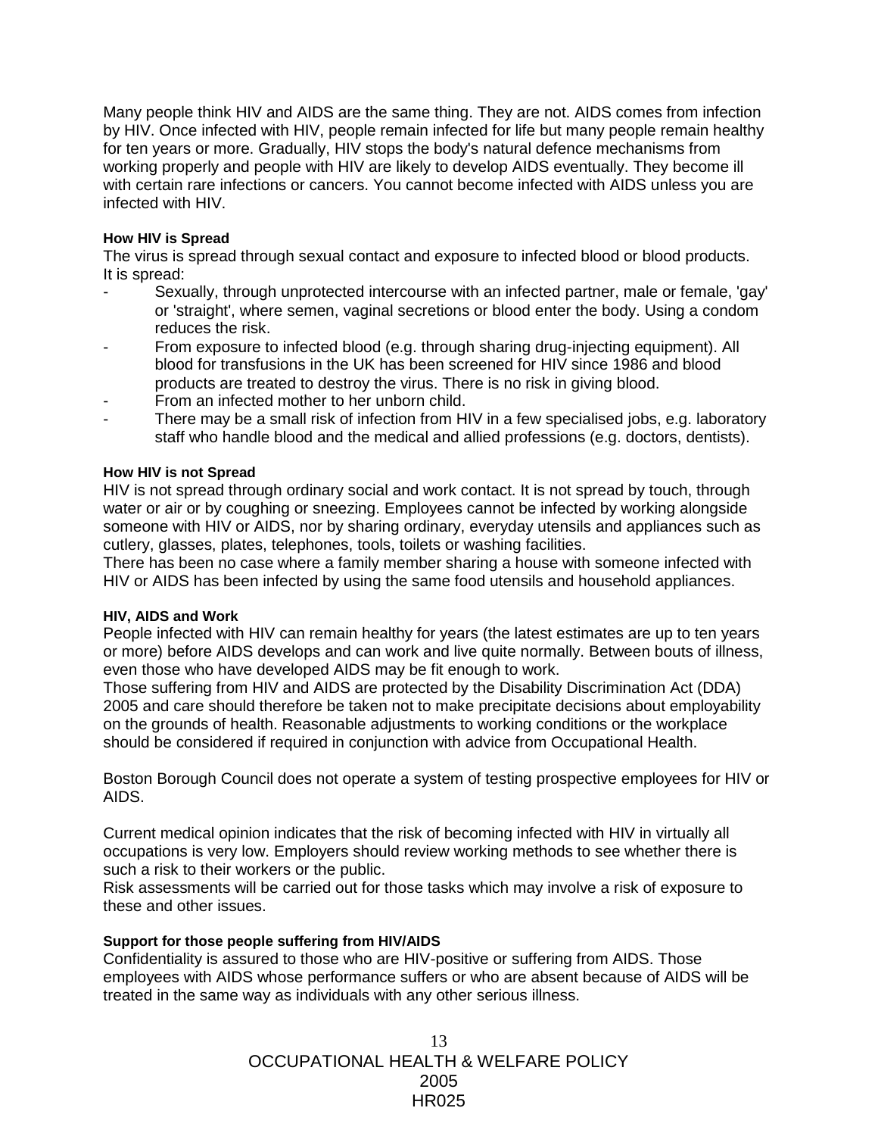Many people think HIV and AIDS are the same thing. They are not. AIDS comes from infection by HIV. Once infected with HIV, people remain infected for life but many people remain healthy for ten years or more. Gradually, HIV stops the body's natural defence mechanisms from working properly and people with HIV are likely to develop AIDS eventually. They become ill with certain rare infections or cancers. You cannot become infected with AIDS unless you are infected with HIV.

#### **How HIV is Spread**

The virus is spread through sexual contact and exposure to infected blood or blood products. It is spread:

- Sexually, through unprotected intercourse with an infected partner, male or female, 'gay' or 'straight', where semen, vaginal secretions or blood enter the body. Using a condom reduces the risk.
- From exposure to infected blood (e.g. through sharing drug-injecting equipment). All blood for transfusions in the UK has been screened for HIV since 1986 and blood products are treated to destroy the virus. There is no risk in giving blood.
- From an infected mother to her unborn child.
- There may be a small risk of infection from HIV in a few specialised jobs, e.g. laboratory staff who handle blood and the medical and allied professions (e.g. doctors, dentists).

#### **How HIV is not Spread**

HIV is not spread through ordinary social and work contact. It is not spread by touch, through water or air or by coughing or sneezing. Employees cannot be infected by working alongside someone with HIV or AIDS, nor by sharing ordinary, everyday utensils and appliances such as cutlery, glasses, plates, telephones, tools, toilets or washing facilities.

There has been no case where a family member sharing a house with someone infected with HIV or AIDS has been infected by using the same food utensils and household appliances.

#### **HIV, AIDS and Work**

People infected with HIV can remain healthy for years (the latest estimates are up to ten years or more) before AIDS develops and can work and live quite normally. Between bouts of illness, even those who have developed AIDS may be fit enough to work.

Those suffering from HIV and AIDS are protected by the Disability Discrimination Act (DDA) 2005 and care should therefore be taken not to make precipitate decisions about employability on the grounds of health. Reasonable adjustments to working conditions or the workplace should be considered if required in conjunction with advice from Occupational Health.

Boston Borough Council does not operate a system of testing prospective employees for HIV or AIDS.

Current medical opinion indicates that the risk of becoming infected with HIV in virtually all occupations is very low. Employers should review working methods to see whether there is such a risk to their workers or the public.

Risk assessments will be carried out for those tasks which may involve a risk of exposure to these and other issues.

#### **Support for those people suffering from HIV/AIDS**

Confidentiality is assured to those who are HIV-positive or suffering from AIDS. Those employees with AIDS whose performance suffers or who are absent because of AIDS will be treated in the same way as individuals with any other serious illness.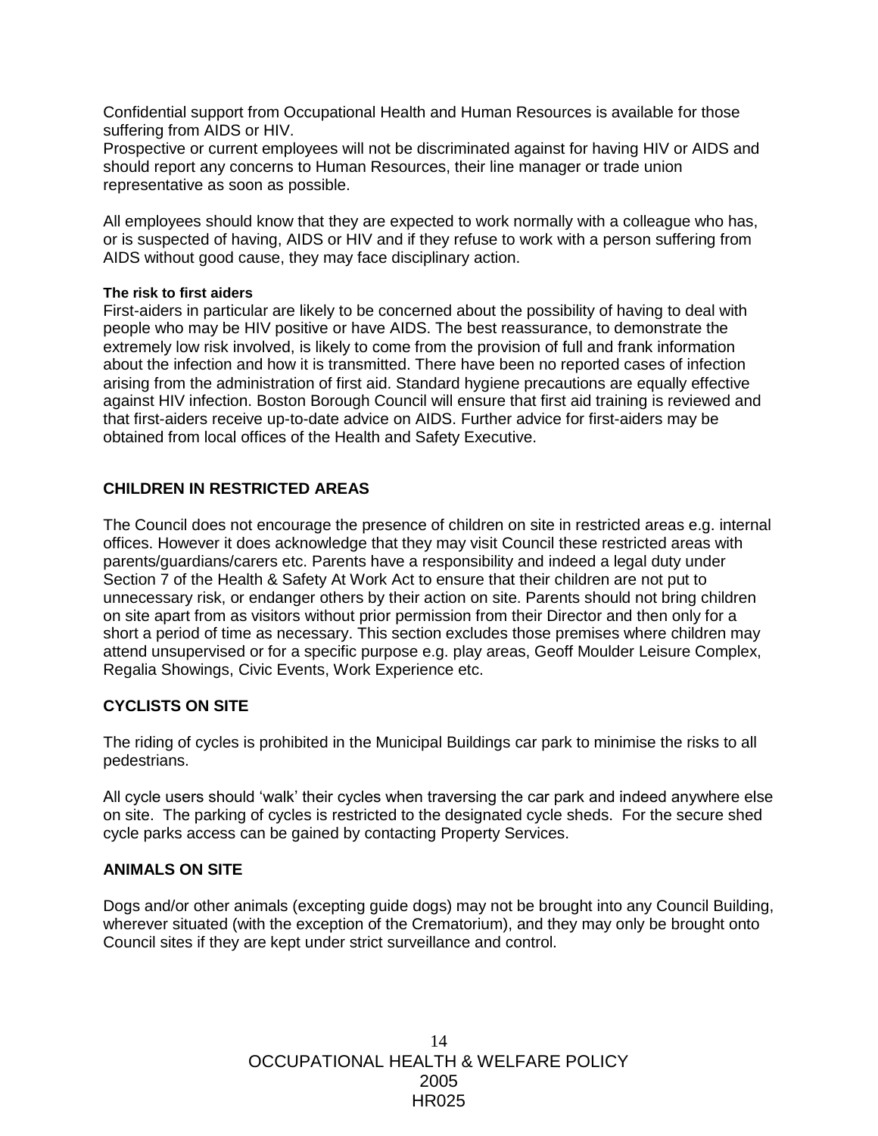Confidential support from Occupational Health and Human Resources is available for those suffering from AIDS or HIV.

Prospective or current employees will not be discriminated against for having HIV or AIDS and should report any concerns to Human Resources, their line manager or trade union representative as soon as possible.

All employees should know that they are expected to work normally with a colleague who has, or is suspected of having, AIDS or HIV and if they refuse to work with a person suffering from AIDS without good cause, they may face disciplinary action.

#### **The risk to first aiders**

First-aiders in particular are likely to be concerned about the possibility of having to deal with people who may be HIV positive or have AIDS. The best reassurance, to demonstrate the extremely low risk involved, is likely to come from the provision of full and frank information about the infection and how it is transmitted. There have been no reported cases of infection arising from the administration of first aid. Standard hygiene precautions are equally effective against HIV infection. Boston Borough Council will ensure that first aid training is reviewed and that first-aiders receive up-to-date advice on AIDS. Further advice for first-aiders may be obtained from local offices of the Health and Safety Executive.

#### **CHILDREN IN RESTRICTED AREAS**

The Council does not encourage the presence of children on site in restricted areas e.g. internal offices. However it does acknowledge that they may visit Council these restricted areas with parents/guardians/carers etc. Parents have a responsibility and indeed a legal duty under Section 7 of the Health & Safety At Work Act to ensure that their children are not put to unnecessary risk, or endanger others by their action on site. Parents should not bring children on site apart from as visitors without prior permission from their Director and then only for a short a period of time as necessary. This section excludes those premises where children may attend unsupervised or for a specific purpose e.g. play areas, Geoff Moulder Leisure Complex, Regalia Showings, Civic Events, Work Experience etc.

## **CYCLISTS ON SITE**

The riding of cycles is prohibited in the Municipal Buildings car park to minimise the risks to all pedestrians.

All cycle users should 'walk' their cycles when traversing the car park and indeed anywhere else on site. The parking of cycles is restricted to the designated cycle sheds. For the secure shed cycle parks access can be gained by contacting Property Services.

#### **ANIMALS ON SITE**

Dogs and/or other animals (excepting guide dogs) may not be brought into any Council Building, wherever situated (with the exception of the Crematorium), and they may only be brought onto Council sites if they are kept under strict surveillance and control.